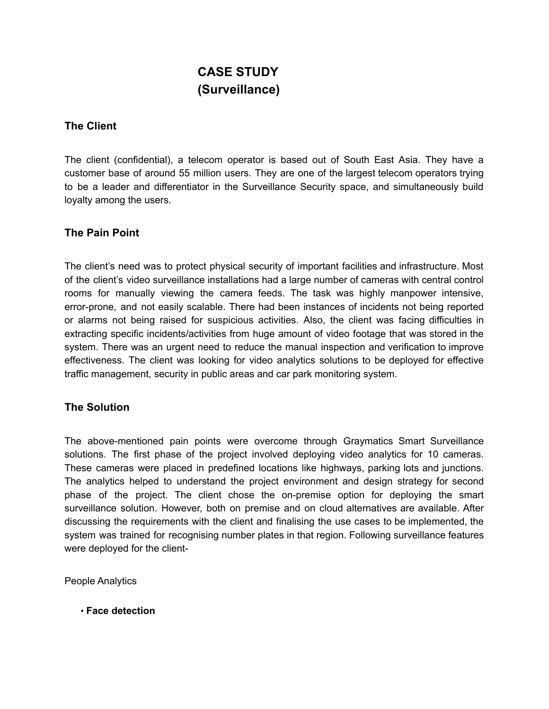# **CASE STUDY (Surveillance)**

# **The Client**

The client (confidential), a telecom operator is based out of South East Asia. They have a customer base of around 55 million users. They are one of the largest telecom operators trying to be a leader and differentiator in the Surveillance Security space, and simultaneously build loyalty among the users.

## **The Pain Point**

The client's need was to protect physical security of important facilities and infrastructure. Most of the client's video surveillance installations had a large number of cameras with central control rooms for manually viewing the camera feeds. The task was highly manpower intensive, error-prone, and not easily scalable. There had been instances of incidents not being reported or alarms not being raised for suspicious activities. Also, the client was facing difficulties in extracting specific incidents/activities from huge amount of video footage that was stored in the system. There was an urgent need to reduce the manual inspection and verification to improve effectiveness. The client was looking for video analytics solutions to be deployed for effective traffic management, security in public areas and car park monitoring system.

## **The Solution**

The above-mentioned pain points were overcome through Graymatics Smart Surveillance solutions. The first phase of the project involved deploying video analytics for 10 cameras. These cameras were placed in predefined locations like highways, parking lots and junctions. The analytics helped to understand the project environment and design strategy for second phase of the project. The client chose the on-premise option for deploying the smart surveillance solution. However, both on premise and on cloud alternatives are available. After discussing the requirements with the client and finalising the use cases to be implemented, the system was trained for recognising number plates in that region. Following surveillance features were deployed for the client-

People Analytics

• **Face detection**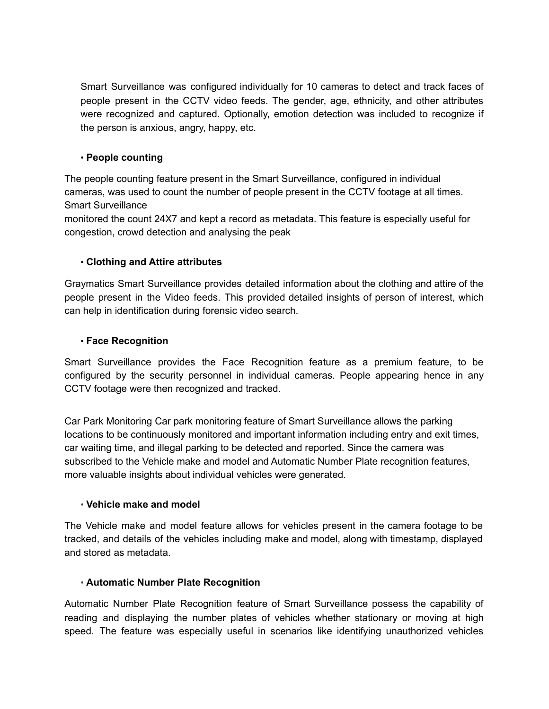Smart Surveillance was configured individually for 10 cameras to detect and track faces of people present in the CCTV video feeds. The gender, age, ethnicity, and other attributes were recognized and captured. Optionally, emotion detection was included to recognize if the person is anxious, angry, happy, etc.

### • **People counting**

The people counting feature present in the Smart Surveillance, configured in individual cameras, was used to count the number of people present in the CCTV footage at all times. Smart Surveillance

monitored the count 24X7 and kept a record as metadata. This feature is especially useful for congestion, crowd detection and analysing the peak

#### • **Clothing and Attire attributes**

Graymatics Smart Surveillance provides detailed information about the clothing and attire of the people present in the Video feeds. This provided detailed insights of person of interest, which can help in identification during forensic video search.

#### • **Face Recognition**

Smart Surveillance provides the Face Recognition feature as a premium feature, to be configured by the security personnel in individual cameras. People appearing hence in any CCTV footage were then recognized and tracked.

Car Park Monitoring Car park monitoring feature of Smart Surveillance allows the parking locations to be continuously monitored and important information including entry and exit times, car waiting time, and illegal parking to be detected and reported. Since the camera was subscribed to the Vehicle make and model and Automatic Number Plate recognition features, more valuable insights about individual vehicles were generated.

#### • **Vehicle make and model**

The Vehicle make and model feature allows for vehicles present in the camera footage to be tracked, and details of the vehicles including make and model, along with timestamp, displayed and stored as metadata.

#### • **Automatic Number Plate Recognition**

Automatic Number Plate Recognition feature of Smart Surveillance possess the capability of reading and displaying the number plates of vehicles whether stationary or moving at high speed. The feature was especially useful in scenarios like identifying unauthorized vehicles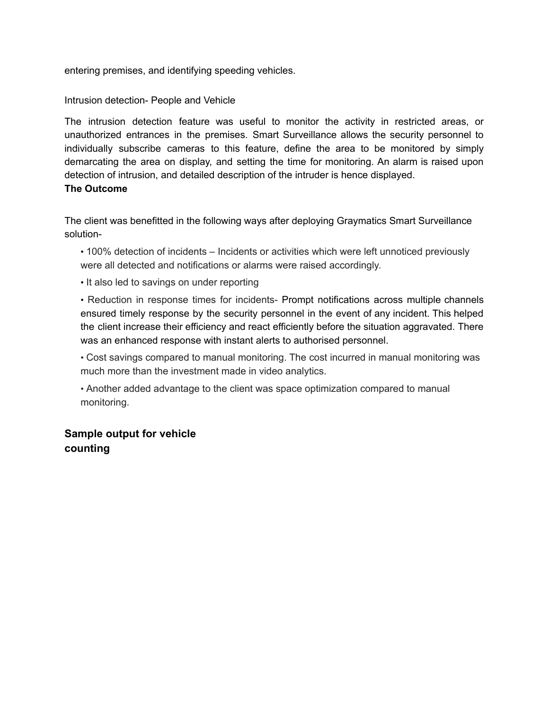entering premises, and identifying speeding vehicles.

Intrusion detection- People and Vehicle

The intrusion detection feature was useful to monitor the activity in restricted areas, or unauthorized entrances in the premises. Smart Surveillance allows the security personnel to individually subscribe cameras to this feature, define the area to be monitored by simply demarcating the area on display, and setting the time for monitoring. An alarm is raised upon detection of intrusion, and detailed description of the intruder is hence displayed. **The Outcome**

The client was benefitted in the following ways after deploying Graymatics Smart Surveillance solution-

• 100% detection of incidents – Incidents or activities which were left unnoticed previously were all detected and notifications or alarms were raised accordingly.

• It also led to savings on under reporting

• Reduction in response times for incidents- Prompt notifications across multiple channels ensured timely response by the security personnel in the event of any incident. This helped the client increase their efficiency and react efficiently before the situation aggravated. There was an enhanced response with instant alerts to authorised personnel.

• Cost savings compared to manual monitoring. The cost incurred in manual monitoring was much more than the investment made in video analytics.

• Another added advantage to the client was space optimization compared to manual monitoring.

# **Sample output for vehicle counting**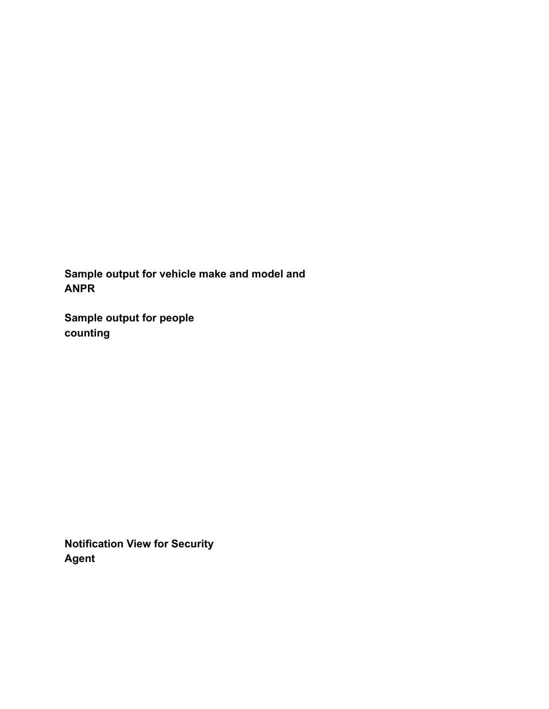**Sample output for vehicle make and model and ANPR**

**Sample output for people counting**

**Notification View for Security Agent**